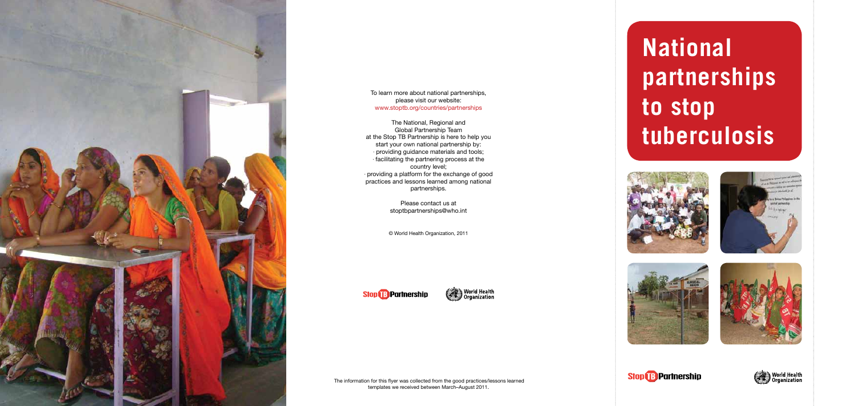# **National partnerships to stop tuberculosis**















To learn more about national partnerships, please visit our website: www.stoptb.org/countries/partnerships

The National, Regional and Global Partnership Team at the Stop TB Partnership is here to help you start your own national partnership by: • providing guidance materials and tools; • facilitating the partnering process at the country level; • providing a platform for the exchange of good practices and lessons learned among national partnerships.

> Please contact us at stoptbpartnerships@who.int

© World Health Organization, 2011



World Health<br>
Organization